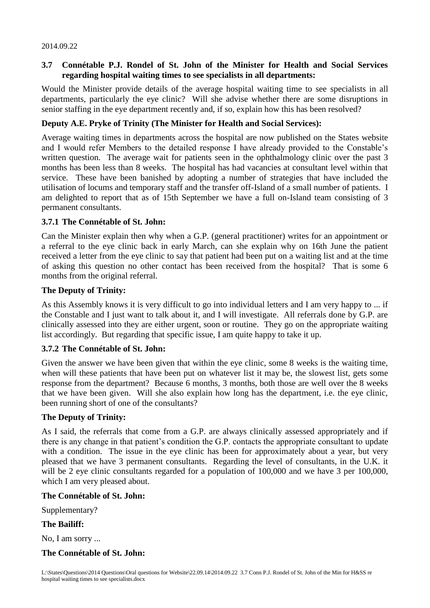#### 2014.09.22

# **3.7 Connétable P.J. Rondel of St. John of the Minister for Health and Social Services regarding hospital waiting times to see specialists in all departments:**

Would the Minister provide details of the average hospital waiting time to see specialists in all departments, particularly the eye clinic? Will she advise whether there are some disruptions in senior staffing in the eye department recently and, if so, explain how this has been resolved?

## **Deputy A.E. Pryke of Trinity (The Minister for Health and Social Services):**

Average waiting times in departments across the hospital are now published on the States website and I would refer Members to the detailed response I have already provided to the Constable's written question. The average wait for patients seen in the ophthalmology clinic over the past 3 months has been less than 8 weeks. The hospital has had vacancies at consultant level within that service. These have been banished by adopting a number of strategies that have included the utilisation of locums and temporary staff and the transfer off-Island of a small number of patients. I am delighted to report that as of 15th September we have a full on-Island team consisting of 3 permanent consultants.

### **3.7.1 The Connétable of St. John:**

Can the Minister explain then why when a G.P. (general practitioner) writes for an appointment or a referral to the eye clinic back in early March, can she explain why on 16th June the patient received a letter from the eye clinic to say that patient had been put on a waiting list and at the time of asking this question no other contact has been received from the hospital? That is some 6 months from the original referral.

### **The Deputy of Trinity:**

As this Assembly knows it is very difficult to go into individual letters and I am very happy to ... if the Constable and I just want to talk about it, and I will investigate. All referrals done by G.P. are clinically assessed into they are either urgent, soon or routine. They go on the appropriate waiting list accordingly. But regarding that specific issue, I am quite happy to take it up.

## **3.7.2 The Connétable of St. John:**

Given the answer we have been given that within the eye clinic, some 8 weeks is the waiting time, when will these patients that have been put on whatever list it may be, the slowest list, gets some response from the department? Because 6 months, 3 months, both those are well over the 8 weeks that we have been given. Will she also explain how long has the department, i.e. the eye clinic, been running short of one of the consultants?

### **The Deputy of Trinity:**

As I said, the referrals that come from a G.P. are always clinically assessed appropriately and if there is any change in that patient's condition the G.P. contacts the appropriate consultant to update with a condition. The issue in the eye clinic has been for approximately about a year, but very pleased that we have 3 permanent consultants. Regarding the level of consultants, in the U.K. it will be 2 eye clinic consultants regarded for a population of 100,000 and we have 3 per 100,000, which I am very pleased about.

### **The Connétable of St. John:**

Supplementary?

### **The Bailiff:**

No, I am sorry ...

### **The Connétable of St. John:**